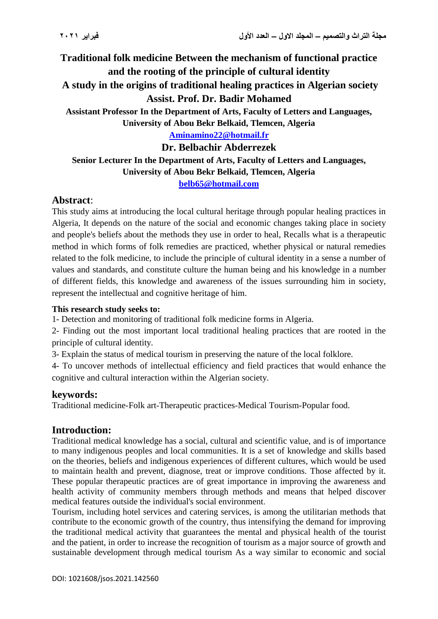**Traditional folk medicine Between the mechanism of functional practice and the rooting of the principle of cultural identity A study in the origins of traditional healing practices in Algerian society Assist. Prof. Dr. Badir Mohamed Assistant Professor In the Department of Arts, Faculty of Letters and Languages, University of Abou Bekr Belkaid, Tlemcen, Algeria [Aminamino22@hotmail.fr](mailto:Aminamino22@hotmail.fr) Dr. Belbachir Abderrezek**

**Senior Lecturer In the Department of Arts, Faculty of Letters and Languages, University of Abou Bekr Belkaid, Tlemcen, Algeria [belb65@hotmail.com](mailto:belb65@hotmail.com)**

# **Abstract**:

This study aims at introducing the local cultural heritage through popular healing practices in Algeria, It depends on the nature of the social and economic changes taking place in society and people's beliefs about the methods they use in order to heal, Recalls what is a therapeutic method in which forms of folk remedies are practiced, whether physical or natural remedies related to the folk medicine, to include the principle of cultural identity in a sense a number of values and standards, and constitute culture the human being and his knowledge in a number of different fields, this knowledge and awareness of the issues surrounding him in society, represent the intellectual and cognitive heritage of him.

#### **This research study seeks to:**

1- Detection and monitoring of traditional folk medicine forms in Algeria.

2- Finding out the most important local traditional healing practices that are rooted in the principle of cultural identity.

3- Explain the status of medical tourism in preserving the nature of the local folklore.

4- To uncover methods of intellectual efficiency and field practices that would enhance the cognitive and cultural interaction within the Algerian society.

### **keywords:**

Traditional medicine-Folk art-Therapeutic practices-Medical Tourism-Popular food.

### **Introduction:**

Traditional medical knowledge has a social, cultural and scientific value, and is of importance to many indigenous peoples and local communities. It is a set of knowledge and skills based on the theories, beliefs and indigenous experiences of different cultures, which would be used to maintain health and prevent, diagnose, treat or improve conditions. Those affected by it. These popular therapeutic practices are of great importance in improving the awareness and health activity of community members through methods and means that helped discover medical features outside the individual's social environment.

Tourism, including hotel services and catering services, is among the utilitarian methods that contribute to the economic growth of the country, thus intensifying the demand for improving the traditional medical activity that guarantees the mental and physical health of the tourist and the patient, in order to increase the recognition of tourism as a major source of growth and sustainable development through medical tourism As a way similar to economic and social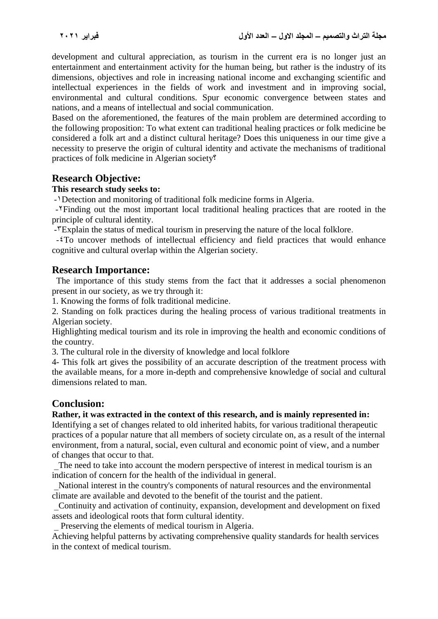development and cultural appreciation, as tourism in the current era is no longer just an entertainment and entertainment activity for the human being, but rather is the industry of its dimensions, objectives and role in increasing national income and exchanging scientific and intellectual experiences in the fields of work and investment and in improving social, environmental and cultural conditions. Spur economic convergence between states and nations, and a means of intellectual and social communication.

Based on the aforementioned, the features of the main problem are determined according to the following proposition: To what extent can traditional healing practices or folk medicine be considered a folk art and a distinct cultural heritage? Does this uniqueness in our time give a necessity to preserve the origin of cultural identity and activate the mechanisms of traditional practices of folk medicine in Algerian society?

# **Research Objective:**

### **This research study seeks to:**

-1Detection and monitoring of traditional folk medicine forms in Algeria.

-2Finding out the most important local traditional healing practices that are rooted in the principle of cultural identity.

-TExplain the status of medical tourism in preserving the nature of the local folklore.

-4To uncover methods of intellectual efficiency and field practices that would enhance cognitive and cultural overlap within the Algerian society.

# **Research Importance:**

 The importance of this study stems from the fact that it addresses a social phenomenon present in our society, as we try through it:

1. Knowing the forms of folk traditional medicine.

2. Standing on folk practices during the healing process of various traditional treatments in Algerian society.

Highlighting medical tourism and its role in improving the health and economic conditions of the country.

3. The cultural role in the diversity of knowledge and local folklore

4- This folk art gives the possibility of an accurate description of the treatment process with the available means, for a more in-depth and comprehensive knowledge of social and cultural dimensions related to man.

### **Conclusion:**

### **Rather, it was extracted in the context of this research, and is mainly represented in:**

Identifying a set of changes related to old inherited habits, for various traditional therapeutic practices of a popular nature that all members of society circulate on, as a result of the internal environment, from a natural, social, even cultural and economic point of view, and a number of changes that occur to that.

The need to take into account the modern perspective of interest in medical tourism is an indication of concern for the health of the individual in general.

 \_National interest in the country's components of natural resources and the environmental climate are available and devoted to the benefit of the tourist and the patient.

 \_Continuity and activation of continuity, expansion, development and development on fixed assets and ideological roots that form cultural identity.

Preserving the elements of medical tourism in Algeria.

Achieving helpful patterns by activating comprehensive quality standards for health services in the context of medical tourism.